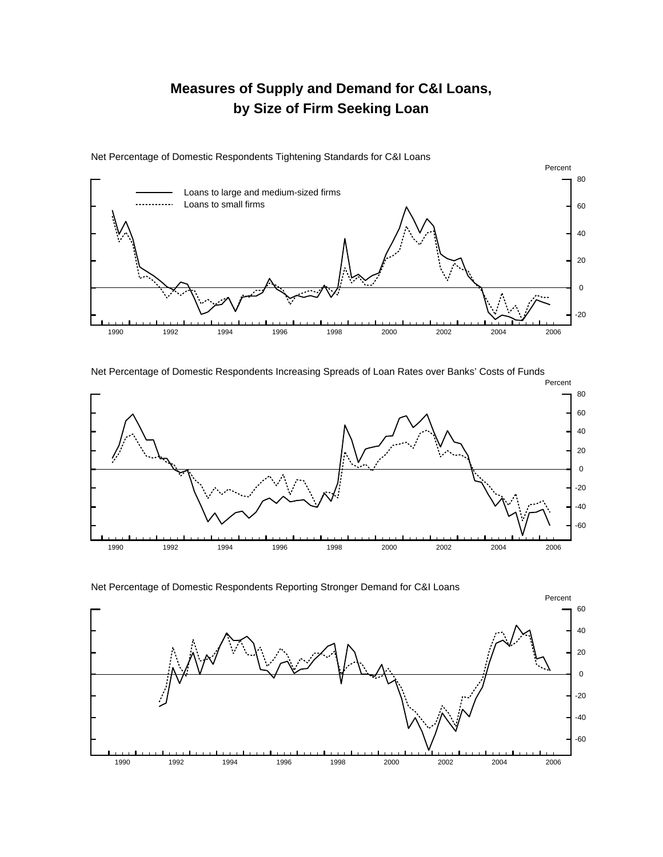## **Measures of Supply and Demand for C&I Loans, by Size of Firm Seeking Loan**



Net Percentage of Domestic Respondents Tightening Standards for C&I Loans

Net Percentage of Domestic Respondents Increasing Spreads of Loan Rates over Banks' Costs of Funds



Net Percentage of Domestic Respondents Reporting Stronger Demand for C&I Loans